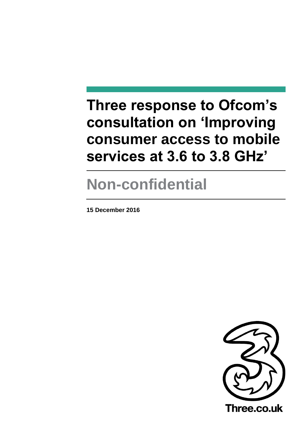# **Three response to Ofcom's consultation on 'Improving consumer access to mobile services at 3.6 to 3.8 GHz'**

# **Non-confidential**

**15 December 2016**

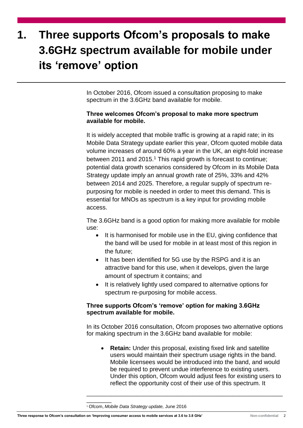# **1. Three supports Ofcom's proposals to make 3.6GHz spectrum available for mobile under its 'remove' option**

In October 2016, Ofcom issued a consultation proposing to make spectrum in the 3.6GHz band available for mobile.

## **Three welcomes Ofcom's proposal to make more spectrum available for mobile.**

It is widely accepted that mobile traffic is growing at a rapid rate; in its Mobile Data Strategy update earlier this year, Ofcom quoted mobile data volume increases of around 60% a year in the UK, an eight-fold increase between 2011 and 2015.<sup>1</sup> This rapid growth is forecast to continue; potential data growth scenarios considered by Ofcom in its Mobile Data Strategy update imply an annual growth rate of 25%, 33% and 42% between 2014 and 2025. Therefore, a regular supply of spectrum repurposing for mobile is needed in order to meet this demand. This is essential for MNOs as spectrum is a key input for providing mobile access.

The 3.6GHz band is a good option for making more available for mobile use:

- It is harmonised for mobile use in the EU, giving confidence that the band will be used for mobile in at least most of this region in the future;
- It has been identified for 5G use by the RSPG and it is an attractive band for this use, when it develops, given the large amount of spectrum it contains; and
- It is relatively lightly used compared to alternative options for spectrum re-purposing for mobile access.

# **Three supports Ofcom's 'remove' option for making 3.6GHz spectrum available for mobile.**

In its October 2016 consultation, Ofcom proposes two alternative options for making spectrum in the 3.6GHz band available for mobile:

**Retain:** Under this proposal, existing fixed link and satellite users would maintain their spectrum usage rights in the band. Mobile licensees would be introduced into the band, and would be required to prevent undue interference to existing users. Under this option, Ofcom would adjust fees for existing users to reflect the opportunity cost of their use of this spectrum. It

\_\_\_\_\_\_\_\_\_\_\_\_\_\_\_\_\_\_\_\_\_\_\_\_\_\_\_\_\_\_\_\_\_\_\_\_\_\_\_\_\_\_\_\_\_\_\_\_\_\_\_\_\_\_\_\_\_\_\_\_\_\_\_

\_\_\_\_\_\_\_\_

<sup>1</sup> Ofcom, *Mobile Data Strategy update,* June 2016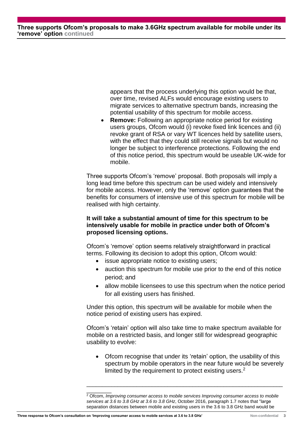**Three supports Ofcom's proposals to make 3.6GHz spectrum available for mobile under its 'remove' option continued**

> appears that the process underlying this option would be that, over time, revised ALFs would encourage existing users to migrate services to alternative spectrum bands, increasing the potential usability of this spectrum for mobile access.

• **Remove:** Following an appropriate notice period for existing users groups, Ofcom would (i) revoke fixed link licences and (ii) revoke grant of RSA or vary WT licences held by satellite users. with the effect that they could still receive signals but would no longer be subject to interference protections. Following the end of this notice period, this spectrum would be useable UK-wide for mobile.

Three supports Ofcom's 'remove' proposal. Both proposals will imply a long lead time before this spectrum can be used widely and intensively for mobile access. However, only the 'remove' option guarantees that the benefits for consumers of intensive use of this spectrum for mobile will be realised with high certainty.

### **It will take a substantial amount of time for this spectrum to be intensively usable for mobile in practice under both of Ofcom's proposed licensing options.**

Ofcom's 'remove' option seems relatively straightforward in practical terms. Following its decision to adopt this option, Ofcom would:

- issue appropriate notice to existing users;
- auction this spectrum for mobile use prior to the end of this notice period; and
- allow mobile licensees to use this spectrum when the notice period for all existing users has finished.

Under this option, this spectrum will be available for mobile when the notice period of existing users has expired.

Ofcom's 'retain' option will also take time to make spectrum available for mobile on a restricted basis, and longer still for widespread geographic usability to evolve:

• Ofcom recognise that under its 'retain' option, the usability of this spectrum by mobile operators in the near future would be severely limited by the requirement to protect existing users.<sup>2</sup>

\_\_\_\_\_\_\_\_\_\_\_\_\_\_\_\_\_\_\_\_\_\_\_\_\_\_\_\_\_\_\_\_\_\_\_\_\_\_\_\_\_\_\_\_\_\_\_\_\_\_\_\_\_\_\_\_\_\_\_\_\_\_\_

\_\_\_\_\_\_\_\_

<sup>2</sup> Ofcom, *Improving consumer access to mobile services Improving consumer access to mobile services at 3.6 to 3.8 GHz at 3.6 to 3.8 GHz*, October 2016, paragraph 1.7 notes that "large separation distances between mobile and existing users in the 3.6 to 3.8 GHz band would be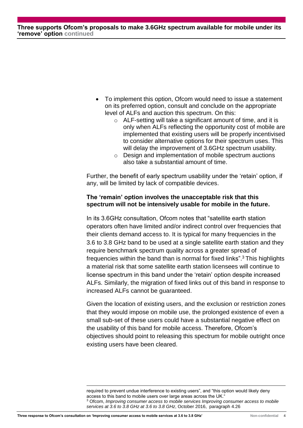**Three supports Ofcom's proposals to make 3.6GHz spectrum available for mobile under its 'remove' option continued**

- To implement this option, Ofcom would need to issue a statement on its preferred option, consult and conclude on the appropriate level of ALFs and auction this spectrum. On this:
	- o ALF-setting will take a significant amount of time, and it is only when ALFs reflecting the opportunity cost of mobile are implemented that existing users will be properly incentivised to consider alternative options for their spectrum uses. This will delay the improvement of 3.6GHz spectrum usability.
	- Design and implementation of mobile spectrum auctions also take a substantial amount of time.

Further, the benefit of early spectrum usability under the 'retain' option, if any, will be limited by lack of compatible devices.

#### **The 'remain' option involves the unacceptable risk that this spectrum will not be intensively usable for mobile in the future.**

In its 3.6GHz consultation, Ofcom notes that "satellite earth station operators often have limited and/or indirect control over frequencies that their clients demand access to. It is typical for many frequencies in the 3.6 to 3.8 GHz band to be used at a single satellite earth station and they require benchmark spectrum quality across a greater spread of frequencies within the band than is normal for fixed links".<sup>3</sup> This highlights a material risk that some satellite earth station licensees will continue to license spectrum in this band under the 'retain' option despite increased ALFs. Similarly, the migration of fixed links out of this band in response to increased ALFs cannot be guaranteed.

Given the location of existing users, and the exclusion or restriction zones that they would impose on mobile use, the prolonged existence of even a small sub-set of these users could have a substantial negative effect on the usability of this band for mobile access. Therefore, Ofcom's objectives should point to releasing this spectrum for mobile outright once existing users have been cleared.

required to prevent undue interference to existing users", and "this option would likely deny access to this band to mobile users over large areas across the UK." <sup>3</sup> Ofcom, *Improving consumer access to mobile services Improving consumer access to mobile services at 3.6 to 3.8 GHz at 3.6 to 3.8 GHz*, October 2016, paragraph 4.26

1